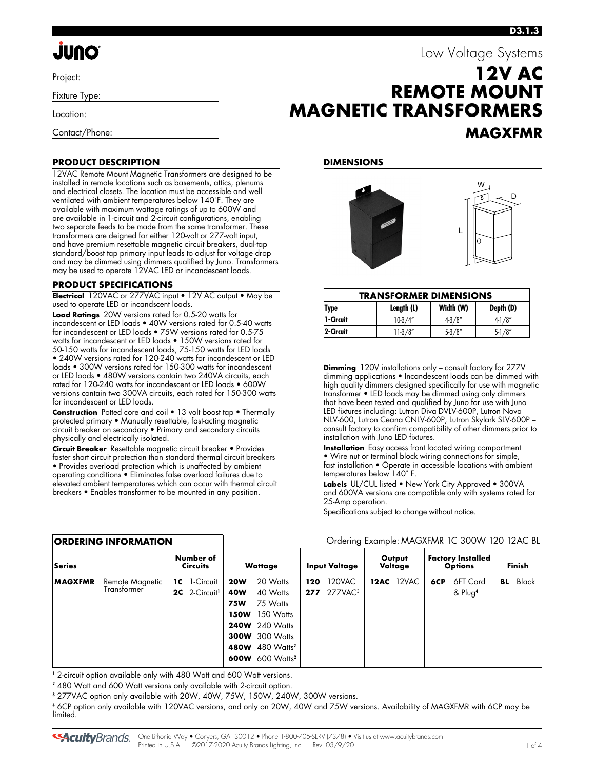# **JUNO**

Project:

Fixture Type:

Location:

Contact/Phone:

## **REMOTE MOUNT MAGNETIC TRANSFORMERS MAGXFMR**

#### **DIMENSIONS**



| <b>TRANSFORMER DIMENSIONS</b> |            |           |            |  |  |  |  |  |
|-------------------------------|------------|-----------|------------|--|--|--|--|--|
| 'Type                         | Length (L) | Width (W) | Depth (D)  |  |  |  |  |  |
| 1-Circuit                     | $10-3/4"$  | $4-3/8"$  | $4 - 1/8"$ |  |  |  |  |  |
| 2-Circuit                     | $11-3/8"$  | $5-3/8"$  | $5 - 1/8"$ |  |  |  |  |  |

**Dimming** 120V installations only – consult factory for 277V dimming applications • Incandescent loads can be dimmed with high quality dimmers designed specifically for use with magnetic transformer • LED loads may be dimmed using only dimmers that have been tested and qualified by Juno for use with Juno LED fixtures including: Lutron Diva DVLV-600P, Lutron Nova NLV-600, Lutron Ceana CNLV-600P, Lutron Skylark SLV-600P – consult factory to confirm compatibility of other dimmers prior to installation with Juno LED fixtures.

**Installation** Easy access front located wiring compartment • Wire nut or terminal block wiring connections for simple, fast installation • Operate in accessible locations with ambient temperatures below 140˚ F.

**Labels** UL/CUL listed • New York City Approved • 300VA and 600VA versions are compatible only with systems rated for 25-Amp operation.

Specifications subject to change without notice.

|  | Ordering Example: MAGXFMR 1C 300W 120 12AC BL |
|--|-----------------------------------------------|
|--|-----------------------------------------------|

| Series                                           | Number of<br><b>Circuits</b>                     | <b>Wattage</b>                                                                                                                                                                                                         | <b>Input Voltage</b>                            | Output<br>Voltage | <b>Factory Installed</b><br><b>Options</b> | <b>Finish</b> |  |
|--------------------------------------------------|--------------------------------------------------|------------------------------------------------------------------------------------------------------------------------------------------------------------------------------------------------------------------------|-------------------------------------------------|-------------------|--------------------------------------------|---------------|--|
| <b>MAGXFMR</b><br>Remote Magnetic<br>Transtormer | <b>1C</b> 1-Circuit<br>2C 2-Circuit <sup>1</sup> | 20 Watts<br><b>20W</b><br>40 Watts<br>40W<br>75 Watts<br><b>75W</b><br>150 Watts<br><b>150W</b><br><b>240W</b> 240 Watts<br><b>300W</b> 300 Watts<br>480W 480 Watts <sup>2</sup><br><b>600W</b> 600 Watts <sup>2</sup> | 120VAC<br>120<br><b>277</b> 277VAC <sup>3</sup> | 12VAC<br>12AC     | 6FT Cord<br>6CP<br>& Plug <sup>4</sup>     | Black<br>BL   |  |

**1** 2-circuit option available only with 480 Watt and 600 Watt versions.

**2** 480 Watt and 600 Watt versions only available with 2-circuit option.

**3** 277VAC option only available with 20W, 40W, 75W, 150W, 240W, 300W versions.

**4** 6CP option only available with 120VAC versions, and only on 20W, 40W and 75W versions. Availability of MAGXFMR with 6CP may be limited.

**12V AC** 

Low Voltage Systems

### **PRODUCT DESCRIPTION**

12VAC Remote Mount Magnetic Transformers are designed to be installed in remote locations such as basements, attics, plenums and electrical closets. The location must be accessible and well ventilated with ambient temperatures below 140˚F. They are available with maximum wattage ratings of up to 600W and are available in 1-circuit and 2-circuit configurations, enabling two separate feeds to be made from the same transformer. These transformers are deigned for either 120-volt or 277-volt input, and have premium resettable magnetic circuit breakers, dual-tap standard/boost tap primary input leads to adjust for voltage drop and may be dimmed using dimmers qualified by Juno. Transformers may be used to operate 12VAC LED or incandescent loads.

#### **PRODUCT SPECIFICATIONS**

**ORDERING INFORMATION** 

**Electrical** 120VAC or 277VAC input • 12V AC output • May be used to operate LED or incandscent loads.

**Load Ratings** 20W versions rated for 0.5-20 watts for incandescent or LED loads • 40W versions rated for 0.5-40 watts for incandescent or LED loads • 75W versions rated for 0.5-75 watts for incandescent or LED loads • 150W versions rated for 50-150 watts for incandescent loads, 75-150 watts for LED loads • 240W versions rated for 120-240 watts for incandescent or LED loads • 300W versions rated for 150-300 watts for incandescent or LED loads • 480W versions contain two 240VA circuits, each rated for 120-240 watts for incandescent or LED loads • 600W versions contain two 300VA circuits, each rated for 150-300 watts for incandescent or LED loads.

**Construction** Potted core and coil • 13 volt boost tap • Thermally protected primary • Manually resettable, fast-acting magnetic circuit breaker on secondary • Primary and secondary circuits physically and electrically isolated.

**Circuit Breaker** Resettable magnetic circuit breaker • Provides faster short circuit protection than standard thermal circuit breakers • Provides overload protection which is unaffected by ambient operating conditions • Eliminates false overload failures due to elevated ambient temperatures which can occur with thermal circuit breakers • Enables transformer to be mounted in any position.

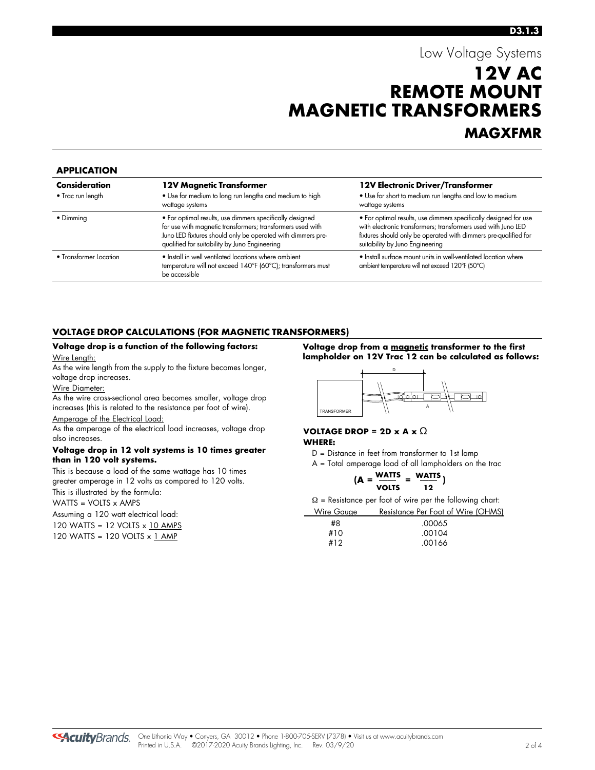### Low Voltage Systems **12V AC REMOTE MOUNT MAGNETIC TRANSFORMERS MAGXFMR**

#### **APPLICATION**

| <b>Consideration</b><br>$\bullet$ Trac run length | 12V Magnetic Transformer<br>• Use for medium to long run lengths and medium to high<br>wattage systems                                                                                                                                 | 12V Electronic Driver/Transformer<br>• Use for short to medium run lengths and low to medium<br>wattage systems                                                                                                                         |
|---------------------------------------------------|----------------------------------------------------------------------------------------------------------------------------------------------------------------------------------------------------------------------------------------|-----------------------------------------------------------------------------------------------------------------------------------------------------------------------------------------------------------------------------------------|
| • Dimming                                         | • For optimal results, use dimmers specifically designed<br>for use with magnetic transformers; transformers used with<br>Juno LED fixtures should only be operated with dimmers pre-<br>qualified for suitability by Juno Engineering | • For optimal results, use dimmers specifically designed for use<br>with electronic transformers; transformers used with Juno LED<br>fixtures should only be operated with dimmers pre-qualified for<br>suitability by Juno Engineering |
| • Transformer Location                            | • Install in well ventilated locations where ambient<br>temperature will not exceed 140°F (60°C); transformers must<br>be accessible                                                                                                   | • Install surface mount units in well-ventilated location where<br>ambient temperature will not exceed 120°F (50°C)                                                                                                                     |

#### **VOLTAGE DROP CALCULATIONS (FOR MAGNETIC TRANSFORMERS)**

#### **Voltage drop is a function of the following factors:** Wire Length:

As the wire length from the supply to the fixture becomes longer, voltage drop increases.

#### Wire Diameter:

As the wire cross-sectional area becomes smaller, voltage drop increases (this is related to the resistance per foot of wire).

#### Amperage of the Electrical Load:

As the amperage of the electrical load increases, voltage drop also increases.

#### **Voltage drop in 12 volt systems is 10 times greater than in 120 volt systems.**

This is because a load of the same wattage has 10 times greater amperage in 12 volts as compared to 120 volts. This is illustrated by the formula:

#### WATTS = VOLTS x AMPS

Assuming a 120 watt electrical load:

120 WATTS = 12 VOLTS x 10 AMPS

120 WATTS = 120 VOLTS x 1 AMP

**Voltage drop from a magnetic transformer to the first lampholder on 12V Trac 12 can be calculated as follows:**



#### **VOLTAGE DROP = 2D x A x**  $\Omega$ **WHERE:**

D = Distance in feet from transformer to 1st lamp

A = Total amperage load of all lampholders on the trac

$$
(A = \frac{WATTS}{VOLTS} = \frac{WATTS}{12})
$$

 $\Omega$  = Resistance per foot of wire per the following chart: Wire Gauge Resistance Per Foot of Wire (OHMS)

| <b>VYILE OUUGE</b> | <b>Resistance Fel Tool of VVIIE (OFT)</b> |
|--------------------|-------------------------------------------|
| #8                 | .00065                                    |
| #10                | .00104                                    |
| #12                | .00166                                    |

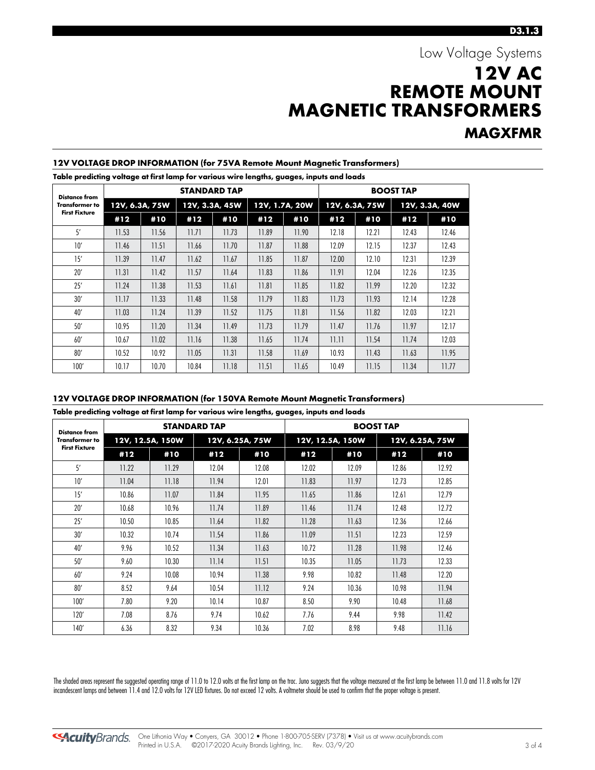### Low Voltage Systems **12V AC REMOTE MOUNT MAGNETIC TRANSFORMERS MAGXFMR**

#### **Distance from Transformer to First Fixture STANDARD TAP BOOST TAP 12V, 6.3A, 75W 12V, 3.3A, 45W 12V, 1.7A, 20W 12V, 6.3A, 75W 12V, 3.3A, 40W #12 #10 #12 #10 #12 #10 #12 #10 #12 #10** 5' | 11.53 | 11.56 | 11.71 | 11.73 | 11.89 | 11.90 | 12.18 | 12.21 | 12.43 | 12.46 10' 11.46 11.51 11.66 11.70 11.87 11.88 12.09 12.15 12.37 12.43 15' | 11.39 | 11.47 | 11.62 | 11.67 | 11.85 | 11.87 | 12.00 | 12.10 | 12.31 | 12.39 20' 11.31 11.42 11.57 11.64 11.83 11.86 11.91 12.04 12.26 12.35 25' 11.24 11.38 11.53 11.61 11.81 11.85 11.82 11.99 12.20 12.32 30' 11.17 11.33 11.48 11.58 11.79 11.83 11.73 11.93 12.14 12.28 40' 11.03 11.24 11.39 11.52 11.75 11.81 11.56 11.82 12.03 12.21 50' 10.95 11.20 11.34 11.49 11.73 11.79 11.47 11.76 11.97 12.17 60' 10.67 11.02 11.16 11.38 11.65 11.74 11.11 11.54 11.74 12.03 80' | 10.52 | 10.92 | 11.05 | 11.31 | 11.58 | 11.69 | 10.93 | 11.43 | 11.63 | 11.95 100' 10.17 10.70 10.84 11.18 11.51 11.65 10.49 11.15 11.34 11.77

#### **12V VOLTAGE DROP INFORMATION (for 75VA Remote Mount Magnetic Transformers)**

**Table predicting voltage at first lamp for various wire lengths, guages, inputs and loads**

#### **12V VOLTAGE DROP INFORMATION (for 150VA Remote Mount Magnetic Transformers)**

**Table predicting voltage at first lamp for various wire lengths, guages, inputs and loads**

| <b>Distance from</b><br><b>Transformer to</b><br><b>First Fixture</b> |       |                  | <b>STANDARD TAP</b> |                 | <b>BOOST TAP</b> |                  |       |                 |  |
|-----------------------------------------------------------------------|-------|------------------|---------------------|-----------------|------------------|------------------|-------|-----------------|--|
|                                                                       |       | 12V, 12.5A, 150W |                     | 12V, 6.25A, 75W |                  | 12V, 12.5A, 150W |       | 12V, 6.25A, 75W |  |
|                                                                       | #12   | #10              | #12                 | #10             | #12              | #10              | #12   | #10             |  |
| 5'                                                                    | 11.22 | 11.29            | 12.04               | 12.08           | 12.02            | 12.09            | 12.86 | 12.92           |  |
| 10'                                                                   | 11.04 | 11.18            | 11.94               | 12.01           | 11.83            | 11.97            | 12.73 | 12.85           |  |
| 15'                                                                   | 10.86 | 11.07            | 11.84               | 11.95           | 11.65            | 11.86            | 12.61 | 12.79           |  |
| 20'                                                                   | 10.68 | 10.96            | 11.74               | 11.89           | 11.46            | 11.74            | 12.48 | 12.72           |  |
| 25'                                                                   | 10.50 | 10.85            | 11.64               | 11.82           | 11.28            | 11.63            | 12.36 | 12.66           |  |
| 30'                                                                   | 10.32 | 10.74            | 11.54               | 11.86           | 11.09            | 11.51            | 12.23 | 12.59           |  |
| 40'                                                                   | 9.96  | 10.52            | 11.34               | 11.63           | 10.72            | 11.28            | 11.98 | 12.46           |  |
| 50'                                                                   | 9.60  | 10.30            | 11.14               | 11.51           | 10.35            | 11.05            | 11.73 | 12.33           |  |
| 60'                                                                   | 9.24  | 10.08            | 10.94               | 11.38           | 9.98             | 10.82            | 11.48 | 12.20           |  |
| 80'                                                                   | 8.52  | 9.64             | 10.54               | 11.12           | 9.24             | 10.36            | 10.98 | 11.94           |  |
| 100'                                                                  | 7.80  | 9.20             | 10.14               | 10.87           | 8.50             | 9.90             | 10.48 | 11.68           |  |
| 120'                                                                  | 7.08  | 8.76             | 9.74                | 10.62           | 7.76             | 9.44             | 9.98  | 11.42           |  |
| 140'                                                                  | 6.36  | 8.32             | 9.34                | 10.36           | 7.02             | 8.98             | 9.48  | 11.16           |  |

The shaded areas represent the suggested operating range of 11.0 to 12.0 volts at the first lamp on the trac. Juno suggests that the voltage measured at the first lamp be between 11.0 and 11.8 volts for 12V incandescent lamps and between 11.4 and 12.0 volts for 12V LED fixtures. Do not exceed 12 volts. A voltmeter should be used to confirm that the proper voltage is present.

**SAcuity** Brands.